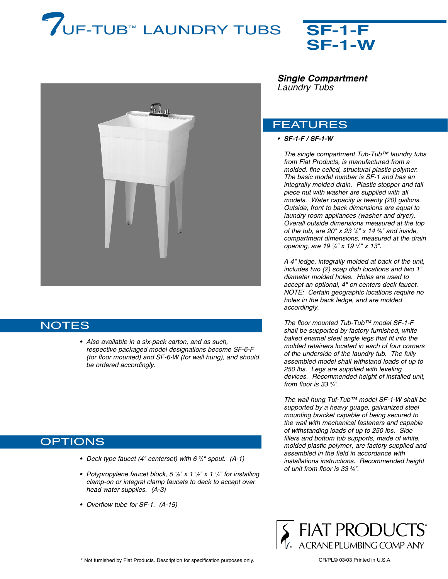# *T*UF-TUB™ LAUNDRY TUBS **SF-1-F**





## **NOTES**

*• Also available in a six-pack carton, and as such, respective packaged model designations become SF-6-F (for floor mounted) and SF-6-W (for wall hung), and should be ordered accordingly.*

# **OPTIONS**

- *• Deck type faucet (4" centerset) with 6 3 /4" spout. (A-1)*
- *• Polypropylene faucet block, 5 1 /8" x 1 1 /2" x 1 1 /4" for installing clamp-on or integral clamp faucets to deck to accept over head water supplies. (A-3)*
- *• Overflow tube for SF-1. (A-15)*

*Single Compartment Laundry Tubs*

### FEATURES

#### *• SF-1-F / SF-1-W*

*The single compartment Tub-Tub™ laundry tubs from Fiat Products, is manufactured from a molded, fine celled, structural plastic polymer. The basic model number is SF-1 and has an integrally molded drain. Plastic stopper and tail piece nut with washer are supplied with all models. Water capacity is twenty (20) gallons. Outside, front to back dimensions are equal to laundry room appliances (washer and dryer). Overall outside dimensions measured at the top of the tub, are 20" x 23 <sup>7</sup>/<sub>8</sub>" x 14 <sup>3</sup>/<sub>8</sub>" and inside, compartment dimensions, measured at the drain opening, are 19 1 /4" x 19 1 /2" x 13".*

*A 4" ledge, integrally molded at back of the unit, includes two (2) soap dish locations and two 1" diameter molded holes. Holes are used to accept an optional, 4" on centers deck faucet. NOTE: Certain geographic locations require no holes in the back ledge, and are molded accordingly.*

*The floor mounted Tub-Tub™ model SF-1-F shall be supported by factory furnished, white baked enamel steel angle legs that fit into the molded retainers located in each of four corners of the underside of the laundry tub. The fully assembled model shall withstand loads of up to 250 lbs. Legs are supplied with leveling devices. Recommended height of installed unit, from floor is 33 3 /4".*

*The wall hung Tuf-Tub™ model SF-1-W shall be supported by a heavy guage, galvanized steel mounting bracket capable of being secured to the wall with mechanical fasteners and capable of withstanding loads of up to 250 lbs. Side fillers and bottom tub supports, made of white, molded plastic polymer, are factory supplied and assembled in the field in accordance with installations instructions. Recommended height of unit from floor is 33 3 /4".*